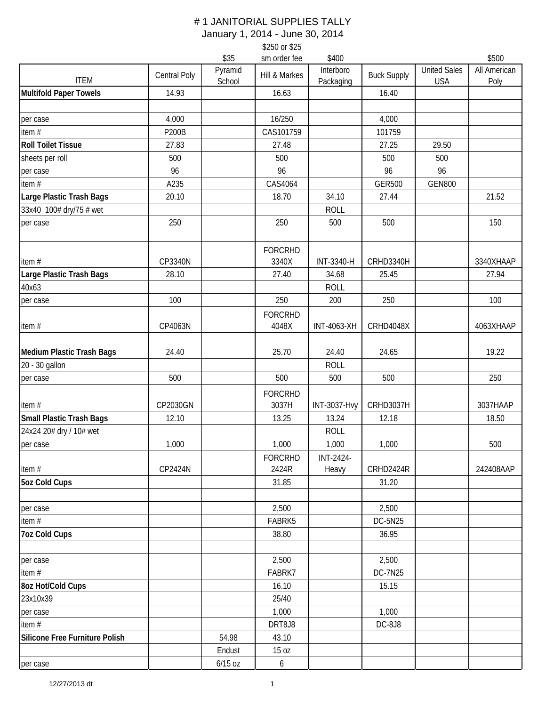|                                 |              |                   | \$250 or \$25  |                        |                    |                                   |                      |
|---------------------------------|--------------|-------------------|----------------|------------------------|--------------------|-----------------------------------|----------------------|
|                                 |              | \$35              | sm order fee   | \$400                  |                    |                                   | \$500                |
| <b>ITEM</b>                     | Central Poly | Pyramid<br>School | Hill & Markes  | Interboro<br>Packaging | <b>Buck Supply</b> | <b>United Sales</b><br><b>USA</b> | All American<br>Poly |
| <b>Multifold Paper Towels</b>   | 14.93        |                   | 16.63          |                        | 16.40              |                                   |                      |
|                                 |              |                   |                |                        |                    |                                   |                      |
| per case                        | 4,000        |                   | 16/250         |                        | 4,000              |                                   |                      |
| item $#$                        | P200B        |                   | CAS101759      |                        | 101759             |                                   |                      |
| <b>Roll Toilet Tissue</b>       | 27.83        |                   | 27.48          |                        | 27.25              | 29.50                             |                      |
| sheets per roll                 | 500          |                   | 500            |                        | 500                | 500                               |                      |
| per case                        | 96           |                   | 96             |                        | 96                 | 96                                |                      |
| item #                          | A235         |                   | CAS4064        |                        | <b>GER500</b>      | <b>GEN800</b>                     |                      |
| Large Plastic Trash Bags        | 20.10        |                   | 18.70          | 34.10                  | 27.44              |                                   | 21.52                |
| 33x40 100# dry/75 # wet         |              |                   |                | <b>ROLL</b>            |                    |                                   |                      |
| per case                        | 250          |                   | 250            | 500                    | 500                |                                   | 150                  |
|                                 |              |                   | <b>FORCRHD</b> |                        |                    |                                   |                      |
| item#                           | CP3340N      |                   | 3340X          | INT-3340-H             | CRHD3340H          |                                   | 3340XHAAP            |
| Large Plastic Trash Bags        | 28.10        |                   | 27.40          | 34.68                  | 25.45              |                                   | 27.94                |
| 40x63                           |              |                   |                | <b>ROLL</b>            |                    |                                   |                      |
| per case                        | 100          |                   | 250            | 200                    | 250                |                                   | 100                  |
|                                 |              |                   | <b>FORCRHD</b> |                        |                    |                                   |                      |
| item#                           | CP4063N      |                   | 4048X          | <b>INT-4063-XH</b>     | CRHD4048X          |                                   | 4063XHAAP            |
| Medium Plastic Trash Bags       | 24.40        |                   | 25.70          | 24.40                  | 24.65              |                                   | 19.22                |
| 20 - 30 gallon                  |              |                   |                | <b>ROLL</b>            |                    |                                   |                      |
| per case                        | 500          |                   | 500            | 500                    | 500                |                                   | 250                  |
|                                 |              |                   | FORCRHD        |                        |                    |                                   |                      |
| item#                           | CP2030GN     |                   | 3037H          | <b>INT-3037-Hvy</b>    | <b>CRHD3037H</b>   |                                   | 3037HAAP             |
| <b>Small Plastic Trash Bags</b> | 12.10        |                   | 13.25          | 13.24                  | 12.18              |                                   | 18.50                |
| 24x24 20# dry / 10# wet         |              |                   |                | <b>ROLL</b>            |                    |                                   |                      |
| per case                        | 1,000        |                   | 1,000          | 1,000                  | 1,000              |                                   | 500                  |
|                                 |              |                   | <b>FORCRHD</b> | INT-2424-              |                    |                                   |                      |
| item #                          | CP2424N      |                   | 2424R          | Heavy                  | CRHD2424R          |                                   | 242408AAP            |
| 5oz Cold Cups                   |              |                   | 31.85          |                        | 31.20              |                                   |                      |
| per case                        |              |                   | 2,500          |                        | 2,500              |                                   |                      |
| item $#$                        |              |                   | FABRK5         |                        | DC-5N25            |                                   |                      |
| <b>7oz Cold Cups</b>            |              |                   | 38.80          |                        | 36.95              |                                   |                      |
| per case                        |              |                   | 2,500          |                        | 2,500              |                                   |                      |
| item $#$                        |              |                   | FABRK7         |                        | <b>DC-7N25</b>     |                                   |                      |
| 8oz Hot/Cold Cups               |              |                   | 16.10          |                        | 15.15              |                                   |                      |
| 23x10x39                        |              |                   | 25/40          |                        |                    |                                   |                      |
| per case                        |              |                   | 1,000          |                        | 1,000              |                                   |                      |
| item $#$                        |              |                   | DRT8J8         |                        | DC-8J8             |                                   |                      |
| Silicone Free Furniture Polish  |              | 54.98             | 43.10          |                        |                    |                                   |                      |
|                                 |              | Endust            | 15 oz          |                        |                    |                                   |                      |
| per case                        |              | $6/15$ oz         | 6              |                        |                    |                                   |                      |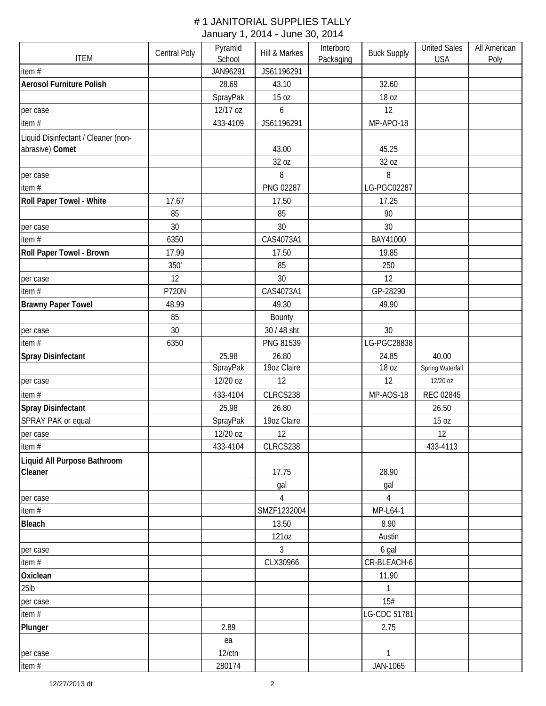|                                     |              | Pyramid           |                      | Interboro |                    | <b>United Sales</b>       | All American |
|-------------------------------------|--------------|-------------------|----------------------|-----------|--------------------|---------------------------|--------------|
| <b>ITEM</b>                         | Central Poly | School            | Hill & Markes        | Packaging | <b>Buck Supply</b> | <b>USA</b>                | Poly         |
| item#                               |              | JAN96291          | JS61196291           |           |                    |                           |              |
| <b>Aerosol Furniture Polish</b>     |              | 28.69             | 43.10                |           | 32.60              |                           |              |
|                                     |              | SprayPak          | 15 oz                |           | 18 oz              |                           |              |
| per case                            |              | 12/17 oz          | 6                    |           | 12                 |                           |              |
| item#                               |              | 433-4109          | JS61196291           |           | MP-APO-18          |                           |              |
| Liquid Disinfectant / Cleaner (non- |              |                   |                      |           |                    |                           |              |
| abrasive) Comet                     |              |                   | 43.00                |           | 45.25              |                           |              |
|                                     |              |                   | 32 oz                |           | 32 oz              |                           |              |
| per case                            |              |                   | 8                    |           | 8                  |                           |              |
| item#                               |              |                   | PNG 02287            |           | LG-PGC02287        |                           |              |
| Roll Paper Towel - White            | 17.67        |                   | 17.50                |           | 17.25              |                           |              |
|                                     | 85           |                   | 85                   |           | 90                 |                           |              |
| per case                            | 30           |                   | 30                   |           | 30                 |                           |              |
| item #                              | 6350         |                   | CAS4073A1            |           | BAY41000           |                           |              |
| Roll Paper Towel - Brown            | 17.99        |                   | 17.50                |           | 19.85              |                           |              |
|                                     | 350'         |                   | 85                   |           | 250                |                           |              |
| per case                            | 12           |                   | 30                   |           | 12                 |                           |              |
| item #                              | <b>P720N</b> |                   | CAS4073A1            |           | GP-28290           |                           |              |
| <b>Brawny Paper Towel</b>           | 48.99        |                   | 49.30                |           | 49.90              |                           |              |
|                                     | 85           |                   | Bounty               |           |                    |                           |              |
| per case                            | 30           |                   | 30 / 48 sht          |           | 30                 |                           |              |
| item #                              | 6350         |                   | PNG 81539            |           | LG-PGC28838        |                           |              |
| Spray Disinfectant                  |              | 25.98<br>SprayPak | 26.80<br>19oz Claire |           | 24.85<br>18 oz     | 40.00<br>Spring Waterfall |              |
| per case                            |              | 12/20 oz          | 12                   |           | 12                 | 12/20 oz                  |              |
| item#                               |              | 433-4104          | CLRCS238             |           | MP-AOS-18          | REC 02845                 |              |
| Spray Disinfectant                  |              | 25.98             | 26.80                |           |                    | 26.50                     |              |
| SPRAY PAK or equal                  |              | SprayPak          | 19oz Claire          |           |                    | 15 oz                     |              |
| per case                            |              | 12/20 oz          | 12                   |           |                    | 12                        |              |
| item $#$                            |              | 433-4104          | CLRCS238             |           |                    | 433-4113                  |              |
| Liquid All Purpose Bathroom         |              |                   |                      |           |                    |                           |              |
| Cleaner                             |              |                   | 17.75                |           | 28.90              |                           |              |
|                                     |              |                   | gal                  |           | gal                |                           |              |
| per case                            |              |                   | 4                    |           | 4                  |                           |              |
| item #                              |              |                   | SMZF1232004          |           | MP-L64-1           |                           |              |
| <b>Bleach</b>                       |              |                   | 13.50                |           | 8.90               |                           |              |
|                                     |              |                   | 121oz                |           | Austin             |                           |              |
| per case                            |              |                   | 3                    |           | 6 gal              |                           |              |
| item#                               |              |                   | CLX30966             |           | CR-BLEACH-6        |                           |              |
| Oxiclean                            |              |                   |                      |           | 11.90              |                           |              |
| 25 <sub>lb</sub>                    |              |                   |                      |           | $\mathbf{1}$       |                           |              |
| per case                            |              |                   |                      |           | 15#                |                           |              |
| item#                               |              |                   |                      |           | LG-CDC 51781       |                           |              |
| Plunger                             |              | 2.89              |                      |           | 2.75               |                           |              |
|                                     |              | ea                |                      |           |                    |                           |              |
| per case                            |              | $12$ / $ctn$      |                      |           | $\mathbf{1}$       |                           |              |
| item #                              |              | 280174            |                      |           | JAN-1065           |                           |              |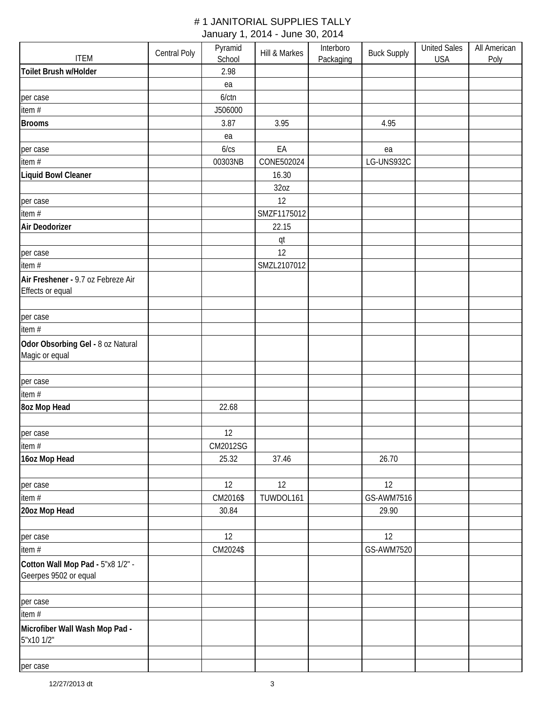| <b>ITEM</b>                        | Central Poly | Pyramid<br>School | Hill & Markes | Interboro<br>Packaging | <b>Buck Supply</b> | <b>United Sales</b><br><b>USA</b> | All American<br>Poly |
|------------------------------------|--------------|-------------------|---------------|------------------------|--------------------|-----------------------------------|----------------------|
| Toilet Brush w/Holder              |              | 2.98              |               |                        |                    |                                   |                      |
|                                    |              | ea                |               |                        |                    |                                   |                      |
| per case                           |              | $6$ / $ctn$       |               |                        |                    |                                   |                      |
| item #                             |              | J506000           |               |                        |                    |                                   |                      |
| <b>Brooms</b>                      |              | 3.87              | 3.95          |                        | 4.95               |                                   |                      |
|                                    |              | ea                |               |                        |                    |                                   |                      |
| per case                           |              | 6/cs              | EA            |                        | ea                 |                                   |                      |
| item #                             |              | 00303NB           | CONE502024    |                        | LG-UNS932C         |                                   |                      |
| Liquid Bowl Cleaner                |              |                   | 16.30         |                        |                    |                                   |                      |
|                                    |              |                   | 32oz          |                        |                    |                                   |                      |
| per case                           |              |                   | 12            |                        |                    |                                   |                      |
| item#                              |              |                   | SMZF1175012   |                        |                    |                                   |                      |
| Air Deodorizer                     |              |                   | 22.15         |                        |                    |                                   |                      |
|                                    |              |                   | qt            |                        |                    |                                   |                      |
| per case                           |              |                   | 12            |                        |                    |                                   |                      |
| item#                              |              |                   | SMZL2107012   |                        |                    |                                   |                      |
| Air Freshener - 9.7 oz Febreze Air |              |                   |               |                        |                    |                                   |                      |
| Effects or equal                   |              |                   |               |                        |                    |                                   |                      |
|                                    |              |                   |               |                        |                    |                                   |                      |
| per case                           |              |                   |               |                        |                    |                                   |                      |
| item #                             |              |                   |               |                        |                    |                                   |                      |
| Odor Obsorbing Gel - 8 oz Natural  |              |                   |               |                        |                    |                                   |                      |
| Magic or equal                     |              |                   |               |                        |                    |                                   |                      |
|                                    |              |                   |               |                        |                    |                                   |                      |
| per case                           |              |                   |               |                        |                    |                                   |                      |
| item #                             |              |                   |               |                        |                    |                                   |                      |
| <b>8oz Mop Head</b>                |              | 22.68             |               |                        |                    |                                   |                      |
|                                    |              |                   |               |                        |                    |                                   |                      |
| per case                           |              | 12                |               |                        |                    |                                   |                      |
| item #                             |              | CM2012SG          |               |                        |                    |                                   |                      |
| 16oz Mop Head                      |              | 25.32             | 37.46         |                        | 26.70              |                                   |                      |
|                                    |              |                   |               |                        |                    |                                   |                      |
| per case                           |              | 12                | 12            |                        | 12                 |                                   |                      |
| item #                             |              | CM2016\$          | TUWDOL161     |                        | GS-AWM7516         |                                   |                      |
| 20oz Mop Head                      |              | 30.84             |               |                        | 29.90              |                                   |                      |
|                                    |              |                   |               |                        |                    |                                   |                      |
| per case                           |              | 12                |               |                        | 12                 |                                   |                      |
| item #                             |              | CM2024\$          |               |                        | GS-AWM7520         |                                   |                      |
| Cotton Wall Mop Pad - 5"x8 1/2" -  |              |                   |               |                        |                    |                                   |                      |
| Geerpes 9502 or equal              |              |                   |               |                        |                    |                                   |                      |
|                                    |              |                   |               |                        |                    |                                   |                      |
| per case                           |              |                   |               |                        |                    |                                   |                      |
| item #                             |              |                   |               |                        |                    |                                   |                      |
| Microfiber Wall Wash Mop Pad -     |              |                   |               |                        |                    |                                   |                      |
| 5"x10 1/2"                         |              |                   |               |                        |                    |                                   |                      |
|                                    |              |                   |               |                        |                    |                                   |                      |
| per case                           |              |                   |               |                        |                    |                                   |                      |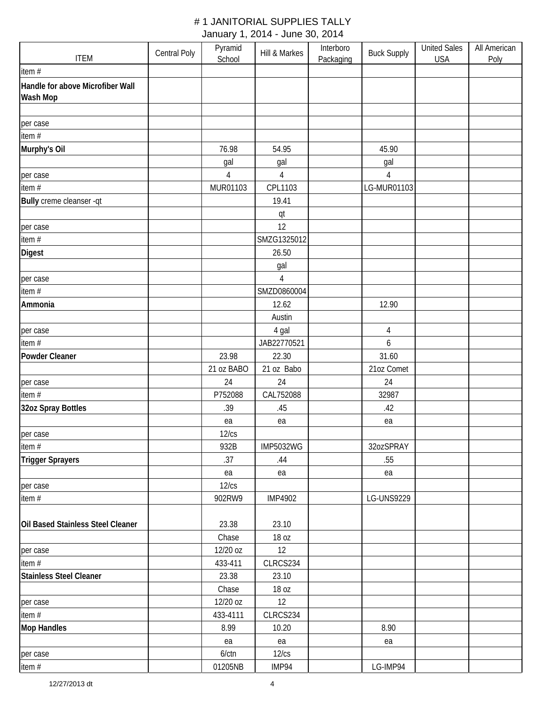| <b>ITEM</b>                                  | Central Poly | Pyramid<br>School | Hill & Markes    | Interboro<br>Packaging | <b>Buck Supply</b> | <b>United Sales</b><br><b>USA</b> | All American<br>Poly |
|----------------------------------------------|--------------|-------------------|------------------|------------------------|--------------------|-----------------------------------|----------------------|
| item #                                       |              |                   |                  |                        |                    |                                   |                      |
| Handle for above Microfiber Wall<br>Wash Mop |              |                   |                  |                        |                    |                                   |                      |
| per case                                     |              |                   |                  |                        |                    |                                   |                      |
| item #                                       |              |                   |                  |                        |                    |                                   |                      |
| Murphy's Oil                                 |              | 76.98             | 54.95            |                        | 45.90              |                                   |                      |
|                                              |              | gal               | gal              |                        | gal                |                                   |                      |
| per case                                     |              | 4                 | 4                |                        | 4                  |                                   |                      |
| item $#$                                     |              | MUR01103          | CPL1103          |                        | LG-MUR01103        |                                   |                      |
| Bully creme cleanser -qt                     |              |                   | 19.41            |                        |                    |                                   |                      |
|                                              |              |                   | qt               |                        |                    |                                   |                      |
| per case                                     |              |                   | 12               |                        |                    |                                   |                      |
| item $#$                                     |              |                   | SMZG1325012      |                        |                    |                                   |                      |
| <b>Digest</b>                                |              |                   | 26.50            |                        |                    |                                   |                      |
|                                              |              |                   | gal              |                        |                    |                                   |                      |
| per case                                     |              |                   | 4                |                        |                    |                                   |                      |
| item $#$                                     |              |                   | SMZD0860004      |                        |                    |                                   |                      |
| Ammonia                                      |              |                   | 12.62            |                        | 12.90              |                                   |                      |
|                                              |              |                   | Austin           |                        |                    |                                   |                      |
| per case                                     |              |                   | 4 gal            |                        | $\overline{4}$     |                                   |                      |
| item $#$                                     |              |                   | JAB22770521      |                        | 6                  |                                   |                      |
| <b>Powder Cleaner</b>                        |              | 23.98             | 22.30            |                        | 31.60              |                                   |                      |
|                                              |              | 21 oz BABO        | 21 oz Babo       |                        | 21oz Comet         |                                   |                      |
| per case                                     |              | 24                | 24               |                        | 24                 |                                   |                      |
| item $#$                                     |              | P752088           | CAL752088        |                        | 32987              |                                   |                      |
| 32oz Spray Bottles                           |              | .39               | .45              |                        | .42                |                                   |                      |
|                                              |              | ea                | ea               |                        | ea                 |                                   |                      |
| per case                                     |              | 12/cs             |                  |                        |                    |                                   |                      |
| item $#$                                     |              | 932B              | <b>IMP5032WG</b> |                        | 32ozSPRAY          |                                   |                      |
| <b>Trigger Sprayers</b>                      |              | .37               | .44              |                        | .55                |                                   |                      |
|                                              |              | ea                | ea               |                        | ea                 |                                   |                      |
| per case                                     |              | 12/cs             |                  |                        |                    |                                   |                      |
| item $#$                                     |              | 902RW9            | <b>IMP4902</b>   |                        | <b>LG-UNS9229</b>  |                                   |                      |
|                                              |              |                   |                  |                        |                    |                                   |                      |
| Oil Based Stainless Steel Cleaner            |              | 23.38             | 23.10            |                        |                    |                                   |                      |
|                                              |              | Chase             | 18 oz            |                        |                    |                                   |                      |
| per case                                     |              | 12/20 oz          | 12               |                        |                    |                                   |                      |
| item $#$                                     |              | 433-411           | CLRCS234         |                        |                    |                                   |                      |
| <b>Stainless Steel Cleaner</b>               |              | 23.38             | 23.10            |                        |                    |                                   |                      |
|                                              |              | Chase             | 18 oz            |                        |                    |                                   |                      |
| per case                                     |              | 12/20 oz          | 12               |                        |                    |                                   |                      |
| item $#$                                     |              | 433-4111          | CLRCS234         |                        |                    |                                   |                      |
| <b>Mop Handles</b>                           |              | 8.99              | 10.20            |                        | 8.90               |                                   |                      |
|                                              |              | ea                | ea               |                        | ea                 |                                   |                      |
| per case                                     |              | $6$ / $ctn$       | 12/cs            |                        |                    |                                   |                      |
| item $#$                                     |              | 01205NB           | IMP94            |                        | LG-IMP94           |                                   |                      |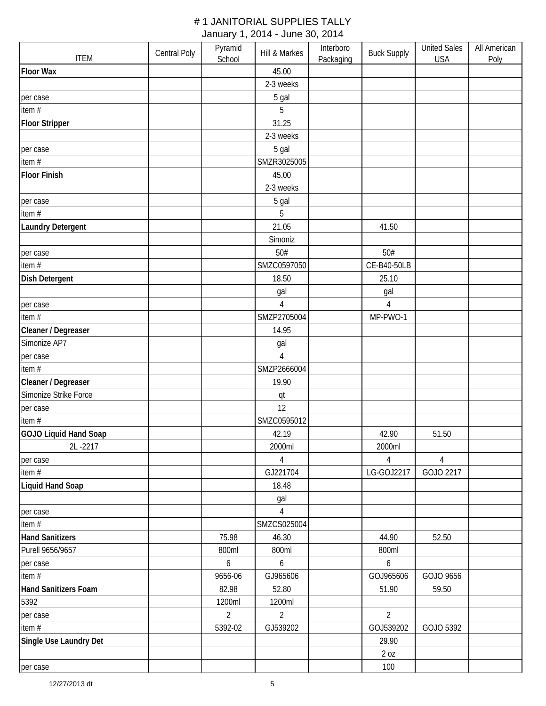| <b>ITEM</b>                  | Central Poly | Pyramid<br>School | Hill & Markes  | Interboro<br>Packaging | <b>Buck Supply</b> | <b>United Sales</b><br><b>USA</b> | All American<br>Poly |
|------------------------------|--------------|-------------------|----------------|------------------------|--------------------|-----------------------------------|----------------------|
| <b>Floor Wax</b>             |              |                   | 45.00          |                        |                    |                                   |                      |
|                              |              |                   | 2-3 weeks      |                        |                    |                                   |                      |
| per case                     |              |                   | 5 gal          |                        |                    |                                   |                      |
| item $#$                     |              |                   | 5              |                        |                    |                                   |                      |
| <b>Floor Stripper</b>        |              |                   | 31.25          |                        |                    |                                   |                      |
|                              |              |                   | 2-3 weeks      |                        |                    |                                   |                      |
| per case                     |              |                   | 5 gal          |                        |                    |                                   |                      |
| item $#$                     |              |                   | SMZR3025005    |                        |                    |                                   |                      |
| <b>Floor Finish</b>          |              |                   | 45.00          |                        |                    |                                   |                      |
|                              |              |                   | 2-3 weeks      |                        |                    |                                   |                      |
| per case                     |              |                   | 5 gal          |                        |                    |                                   |                      |
| item $#$                     |              |                   | 5              |                        |                    |                                   |                      |
| <b>Laundry Detergent</b>     |              |                   | 21.05          |                        | 41.50              |                                   |                      |
|                              |              |                   | Simoniz        |                        |                    |                                   |                      |
| per case                     |              |                   | 50#            |                        | 50#                |                                   |                      |
| item #                       |              |                   | SMZC0597050    |                        | CE-B40-50LB        |                                   |                      |
| <b>Dish Detergent</b>        |              |                   | 18.50          |                        | 25.10              |                                   |                      |
|                              |              |                   | gal            |                        | gal                |                                   |                      |
| per case                     |              |                   | $\overline{4}$ |                        | 4                  |                                   |                      |
| item $#$                     |              |                   | SMZP2705004    |                        | MP-PWO-1           |                                   |                      |
| Cleaner / Degreaser          |              |                   | 14.95          |                        |                    |                                   |                      |
| Simonize AP7                 |              |                   | gal            |                        |                    |                                   |                      |
| per case                     |              |                   | 4              |                        |                    |                                   |                      |
| item #                       |              |                   | SMZP2666004    |                        |                    |                                   |                      |
| Cleaner / Degreaser          |              |                   | 19.90          |                        |                    |                                   |                      |
| Simonize Strike Force        |              |                   | qt             |                        |                    |                                   |                      |
| per case                     |              |                   | 12             |                        |                    |                                   |                      |
| item#                        |              |                   | SMZC0595012    |                        |                    |                                   |                      |
| <b>GOJO Liquid Hand Soap</b> |              |                   | 42.19          |                        | 42.90              | 51.50                             |                      |
| 2L-2217                      |              |                   | 2000ml         |                        | 2000ml             |                                   |                      |
| per case                     |              |                   | 4              |                        | 4                  | 4                                 |                      |
| item #                       |              |                   | GJ221704       |                        | LG-GOJ2217         | GOJO 2217                         |                      |
| <b>Liquid Hand Soap</b>      |              |                   | 18.48          |                        |                    |                                   |                      |
|                              |              |                   | gal            |                        |                    |                                   |                      |
| per case                     |              |                   | 4              |                        |                    |                                   |                      |
| item #                       |              |                   | SMZCS025004    |                        |                    |                                   |                      |
| <b>Hand Sanitizers</b>       |              | 75.98             | 46.30          |                        | 44.90              | 52.50                             |                      |
| Purell 9656/9657             |              | 800ml             | 800ml          |                        | 800ml              |                                   |                      |
| per case                     |              | 6                 | 6              |                        | 6                  |                                   |                      |
| item#                        |              | 9656-06           | GJ965606       |                        | GOJ965606          | GOJO 9656                         |                      |
| Hand Sanitizers Foam         |              | 82.98             | 52.80          |                        | 51.90              | 59.50                             |                      |
| 5392                         |              | 1200ml            | 1200ml         |                        |                    |                                   |                      |
| per case                     |              | $\overline{2}$    | $\overline{2}$ |                        | $\overline{2}$     |                                   |                      |
| item#                        |              | 5392-02           | GJ539202       |                        | GOJ539202          | GOJO 5392                         |                      |
| Single Use Laundry Det       |              |                   |                |                        | 29.90              |                                   |                      |
|                              |              |                   |                |                        | 20Z                |                                   |                      |
| per case                     |              |                   |                |                        | 100                |                                   |                      |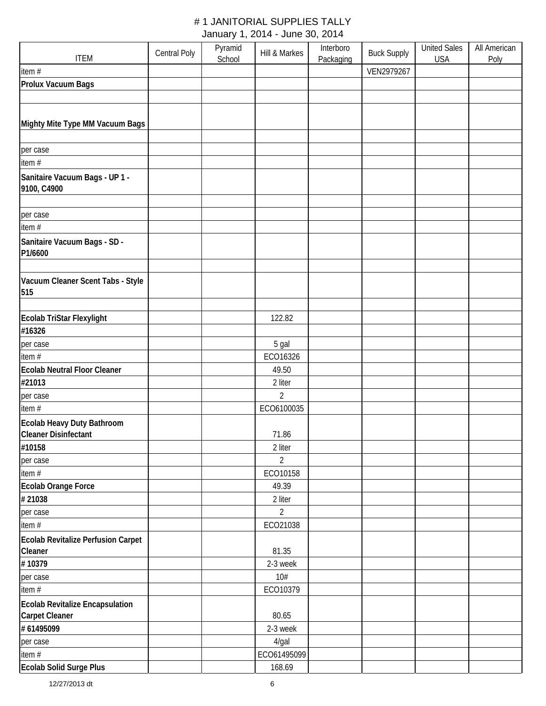| <b>ITEM</b>                                                      | Central Poly | Pyramid<br>School | Hill & Markes     | Interboro<br>Packaging | <b>Buck Supply</b> | <b>United Sales</b><br><b>USA</b> | All American<br>Poly |
|------------------------------------------------------------------|--------------|-------------------|-------------------|------------------------|--------------------|-----------------------------------|----------------------|
| item#                                                            |              |                   |                   |                        | VEN2979267         |                                   |                      |
| Prolux Vacuum Bags                                               |              |                   |                   |                        |                    |                                   |                      |
|                                                                  |              |                   |                   |                        |                    |                                   |                      |
| Mighty Mite Type MM Vacuum Bags                                  |              |                   |                   |                        |                    |                                   |                      |
| per case                                                         |              |                   |                   |                        |                    |                                   |                      |
| item#                                                            |              |                   |                   |                        |                    |                                   |                      |
| Sanitaire Vacuum Bags - UP 1 -<br>9100, C4900                    |              |                   |                   |                        |                    |                                   |                      |
| per case<br>item#                                                |              |                   |                   |                        |                    |                                   |                      |
| Sanitaire Vacuum Bags - SD -<br>P1/6600                          |              |                   |                   |                        |                    |                                   |                      |
| Vacuum Cleaner Scent Tabs - Style<br>515                         |              |                   |                   |                        |                    |                                   |                      |
| Ecolab TriStar Flexylight<br>#16326                              |              |                   | 122.82            |                        |                    |                                   |                      |
| per case                                                         |              |                   | 5 gal             |                        |                    |                                   |                      |
| item#                                                            |              |                   | ECO16326          |                        |                    |                                   |                      |
| <b>Ecolab Neutral Floor Cleaner</b>                              |              |                   | 49.50             |                        |                    |                                   |                      |
| #21013                                                           |              |                   | 2 liter           |                        |                    |                                   |                      |
| per case                                                         |              |                   | $\overline{2}$    |                        |                    |                                   |                      |
| item#                                                            |              |                   | ECO6100035        |                        |                    |                                   |                      |
| <b>Ecolab Heavy Duty Bathroom</b><br><b>Cleaner Disinfectant</b> |              |                   | 71.86             |                        |                    |                                   |                      |
| #10158                                                           |              |                   | 2 liter           |                        |                    |                                   |                      |
| per case                                                         |              |                   | $\overline{2}$    |                        |                    |                                   |                      |
| item#                                                            |              |                   | ECO10158          |                        |                    |                                   |                      |
| Ecolab Orange Force                                              |              |                   | 49.39             |                        |                    |                                   |                      |
| #21038                                                           |              |                   | 2 liter           |                        |                    |                                   |                      |
| per case                                                         |              |                   | $\overline{2}$    |                        |                    |                                   |                      |
| item #                                                           |              |                   | ECO21038          |                        |                    |                                   |                      |
| Ecolab Revitalize Perfusion Carpet<br>Cleaner                    |              |                   | 81.35             |                        |                    |                                   |                      |
| #10379                                                           |              |                   | 2-3 week          |                        |                    |                                   |                      |
|                                                                  |              |                   | 10#               |                        |                    |                                   |                      |
| per case<br>item #                                               |              |                   | ECO10379          |                        |                    |                                   |                      |
| <b>Ecolab Revitalize Encapsulation</b>                           |              |                   |                   |                        |                    |                                   |                      |
| <b>Carpet Cleaner</b><br># 61495099                              |              |                   | 80.65             |                        |                    |                                   |                      |
| per case                                                         |              |                   | 2-3 week<br>4/gal |                        |                    |                                   |                      |
| item #                                                           |              |                   | ECO61495099       |                        |                    |                                   |                      |
| Ecolab Solid Surge Plus                                          |              |                   | 168.69            |                        |                    |                                   |                      |
|                                                                  |              |                   |                   |                        |                    |                                   |                      |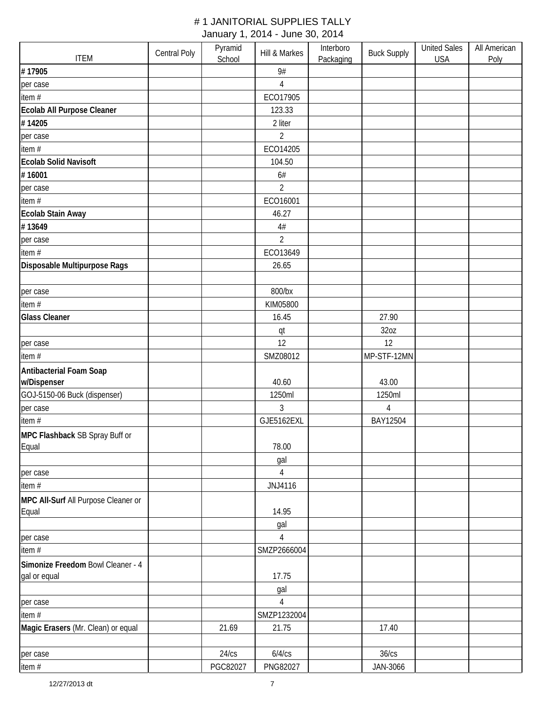|                                     | Central Poly | Pyramid  | Hill & Markes  | Interboro | <b>Buck Supply</b> | <b>United Sales</b> | All American |
|-------------------------------------|--------------|----------|----------------|-----------|--------------------|---------------------|--------------|
| <b>ITEM</b>                         |              | School   |                | Packaging |                    | <b>USA</b>          | Poly         |
| #17905                              |              |          | 9#             |           |                    |                     |              |
| per case                            |              |          | $\overline{4}$ |           |                    |                     |              |
| item#                               |              |          | ECO17905       |           |                    |                     |              |
| Ecolab All Purpose Cleaner          |              |          | 123.33         |           |                    |                     |              |
| #14205                              |              |          | 2 liter        |           |                    |                     |              |
| per case                            |              |          | $\overline{2}$ |           |                    |                     |              |
| item#                               |              |          | ECO14205       |           |                    |                     |              |
| <b>Ecolab Solid Navisoft</b>        |              |          | 104.50         |           |                    |                     |              |
| #16001                              |              |          | 6#             |           |                    |                     |              |
| per case                            |              |          | $\overline{2}$ |           |                    |                     |              |
| item#                               |              |          | ECO16001       |           |                    |                     |              |
| <b>Ecolab Stain Away</b><br>#13649  |              |          | 46.27<br>$4\#$ |           |                    |                     |              |
|                                     |              |          | $\overline{2}$ |           |                    |                     |              |
| per case<br>item #                  |              |          | ECO13649       |           |                    |                     |              |
| Disposable Multipurpose Rags        |              |          | 26.65          |           |                    |                     |              |
|                                     |              |          |                |           |                    |                     |              |
| per case                            |              |          | 800/bx         |           |                    |                     |              |
| item#                               |              |          | KIM05800       |           |                    |                     |              |
| <b>Glass Cleaner</b>                |              |          | 16.45          |           | 27.90              |                     |              |
|                                     |              |          | qt             |           | 32oz               |                     |              |
| per case                            |              |          | 12             |           | 12                 |                     |              |
| item#                               |              |          | SMZ08012       |           | MP-STF-12MN        |                     |              |
| Antibacterial Foam Soap             |              |          |                |           |                    |                     |              |
| w/Dispenser                         |              |          | 40.60          |           | 43.00              |                     |              |
| GOJ-5150-06 Buck (dispenser)        |              |          | 1250ml         |           | 1250ml             |                     |              |
| per case                            |              |          | 3              |           | $\overline{4}$     |                     |              |
| item#                               |              |          | GJE5162EXL     |           | BAY12504           |                     |              |
| MPC Flashback SB Spray Buff or      |              |          |                |           |                    |                     |              |
| Equal                               |              |          | 78.00          |           |                    |                     |              |
|                                     |              |          | gal            |           |                    |                     |              |
| per case                            |              |          | 4              |           |                    |                     |              |
| item#                               |              |          | JNJ4116        |           |                    |                     |              |
| MPC All-Surf All Purpose Cleaner or |              |          |                |           |                    |                     |              |
| Equal                               |              |          | 14.95          |           |                    |                     |              |
|                                     |              |          | gal            |           |                    |                     |              |
| per case                            |              |          | 4              |           |                    |                     |              |
| item#                               |              |          | SMZP2666004    |           |                    |                     |              |
| Simonize Freedom Bowl Cleaner - 4   |              |          |                |           |                    |                     |              |
| gal or equal                        |              |          | 17.75          |           |                    |                     |              |
|                                     |              |          | gal            |           |                    |                     |              |
| per case                            |              |          | 4              |           |                    |                     |              |
| item#                               |              |          | SMZP1232004    |           |                    |                     |              |
| Magic Erasers (Mr. Clean) or equal  |              | 21.69    | 21.75          |           | 17.40              |                     |              |
| per case                            |              | 24/cs    | 6/4/cs         |           | 36/cs              |                     |              |
| item $#$                            |              | PGC82027 | PNG82027       |           | JAN-3066           |                     |              |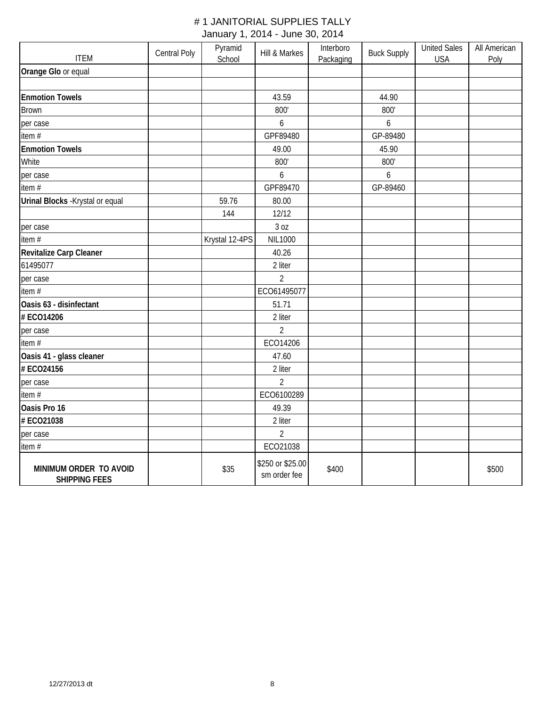| <b>ITEM</b>                                    | <b>Central Poly</b> | Pyramid<br>School | Hill & Markes                    | Interboro<br>Packaging | <b>Buck Supply</b> | <b>United Sales</b><br><b>USA</b> | All American<br>Poly |
|------------------------------------------------|---------------------|-------------------|----------------------------------|------------------------|--------------------|-----------------------------------|----------------------|
| Orange Glo or equal                            |                     |                   |                                  |                        |                    |                                   |                      |
|                                                |                     |                   |                                  |                        |                    |                                   |                      |
| <b>Enmotion Towels</b>                         |                     |                   | 43.59                            |                        | 44.90              |                                   |                      |
| <b>Brown</b>                                   |                     |                   | 800'                             |                        | 800'               |                                   |                      |
| per case                                       |                     |                   | 6                                |                        | 6                  |                                   |                      |
| item $#$                                       |                     |                   | GPF89480                         |                        | GP-89480           |                                   |                      |
| <b>Enmotion Towels</b>                         |                     |                   | 49.00                            |                        | 45.90              |                                   |                      |
| White                                          |                     |                   | 800'                             |                        | 800'               |                                   |                      |
| per case                                       |                     |                   | 6                                |                        | $\boldsymbol{6}$   |                                   |                      |
| item#                                          |                     |                   | GPF89470                         |                        | GP-89460           |                                   |                      |
| Urinal Blocks - Krystal or equal               |                     | 59.76             | 80.00                            |                        |                    |                                   |                      |
|                                                |                     | 144               | 12/12                            |                        |                    |                                   |                      |
| per case                                       |                     |                   | 3 oz                             |                        |                    |                                   |                      |
| item #                                         |                     | Krystal 12-4PS    | <b>NIL1000</b>                   |                        |                    |                                   |                      |
| Revitalize Carp Cleaner                        |                     |                   | 40.26                            |                        |                    |                                   |                      |
| 61495077                                       |                     |                   | 2 liter                          |                        |                    |                                   |                      |
| per case                                       |                     |                   | $\overline{2}$                   |                        |                    |                                   |                      |
| item $#$                                       |                     |                   | ECO61495077                      |                        |                    |                                   |                      |
| Oasis 63 - disinfectant                        |                     |                   | 51.71                            |                        |                    |                                   |                      |
| # ECO14206                                     |                     |                   | 2 liter                          |                        |                    |                                   |                      |
| per case                                       |                     |                   | $\overline{2}$                   |                        |                    |                                   |                      |
| item $#$                                       |                     |                   | ECO14206                         |                        |                    |                                   |                      |
| Oasis 41 - glass cleaner                       |                     |                   | 47.60                            |                        |                    |                                   |                      |
| # ECO24156                                     |                     |                   | 2 liter                          |                        |                    |                                   |                      |
| per case                                       |                     |                   | $\overline{2}$                   |                        |                    |                                   |                      |
| item $#$                                       |                     |                   | ECO6100289                       |                        |                    |                                   |                      |
| Oasis Pro 16                                   |                     |                   | 49.39                            |                        |                    |                                   |                      |
| # ECO21038                                     |                     |                   | 2 liter                          |                        |                    |                                   |                      |
| per case                                       |                     |                   | $\overline{2}$                   |                        |                    |                                   |                      |
| item#                                          |                     |                   | ECO21038                         |                        |                    |                                   |                      |
| MINIMUM ORDER TO AVOID<br><b>SHIPPING FEES</b> |                     | \$35              | \$250 or \$25.00<br>sm order fee | \$400                  |                    |                                   | \$500                |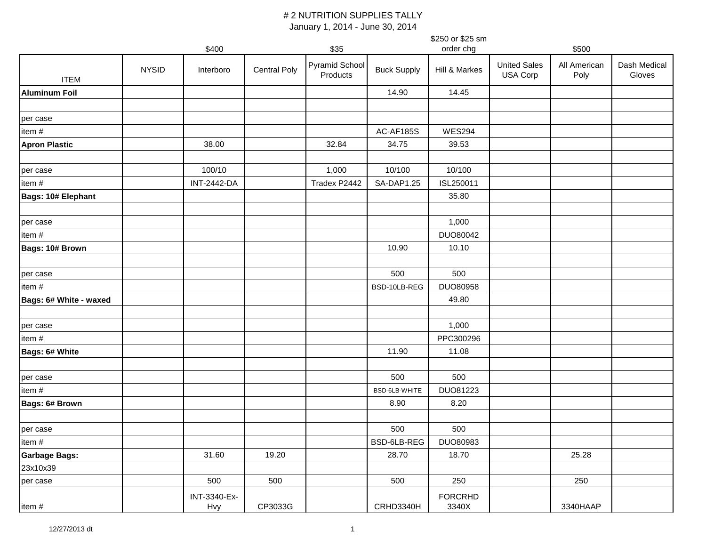|                           |              |                     |                     |                            |                    | \$250 or \$25 sm        |                                 |                      |                        |
|---------------------------|--------------|---------------------|---------------------|----------------------------|--------------------|-------------------------|---------------------------------|----------------------|------------------------|
|                           |              | \$400               |                     | \$35                       |                    | order chg               |                                 | \$500                |                        |
| <b>ITEM</b>               | <b>NYSID</b> | Interboro           | <b>Central Poly</b> | Pyramid School<br>Products | <b>Buck Supply</b> | Hill & Markes           | <b>United Sales</b><br>USA Corp | All American<br>Poly | Dash Medical<br>Gloves |
| <b>Aluminum Foil</b>      |              |                     |                     |                            | 14.90              | 14.45                   |                                 |                      |                        |
|                           |              |                     |                     |                            |                    |                         |                                 |                      |                        |
| per case                  |              |                     |                     |                            |                    |                         |                                 |                      |                        |
| item#                     |              |                     |                     |                            | AC-AF185S          | <b>WES294</b>           |                                 |                      |                        |
| <b>Apron Plastic</b>      |              | 38.00               |                     | 32.84                      | 34.75              | 39.53                   |                                 |                      |                        |
|                           |              |                     |                     |                            |                    |                         |                                 |                      |                        |
| per case                  |              | 100/10              |                     | 1,000                      | 10/100             | 10/100                  |                                 |                      |                        |
| item#                     |              | <b>INT-2442-DA</b>  |                     | Tradex P2442               | SA-DAP1.25         | ISL250011               |                                 |                      |                        |
| <b>Bags: 10# Elephant</b> |              |                     |                     |                            |                    | 35.80                   |                                 |                      |                        |
|                           |              |                     |                     |                            |                    |                         |                                 |                      |                        |
| per case                  |              |                     |                     |                            |                    | 1,000                   |                                 |                      |                        |
| item#                     |              |                     |                     |                            |                    | DUO80042                |                                 |                      |                        |
| Bags: 10# Brown           |              |                     |                     |                            | 10.90              | 10.10                   |                                 |                      |                        |
|                           |              |                     |                     |                            |                    |                         |                                 |                      |                        |
| per case                  |              |                     |                     |                            | 500                | 500                     |                                 |                      |                        |
| item#                     |              |                     |                     |                            | BSD-10LB-REG       | DUO80958                |                                 |                      |                        |
| Bags: 6# White - waxed    |              |                     |                     |                            |                    | 49.80                   |                                 |                      |                        |
|                           |              |                     |                     |                            |                    |                         |                                 |                      |                        |
| per case                  |              |                     |                     |                            |                    | 1,000                   |                                 |                      |                        |
| item#                     |              |                     |                     |                            |                    | PPC300296               |                                 |                      |                        |
| Bags: 6# White            |              |                     |                     |                            | 11.90              | 11.08                   |                                 |                      |                        |
|                           |              |                     |                     |                            |                    |                         |                                 |                      |                        |
| per case                  |              |                     |                     |                            | 500                | 500                     |                                 |                      |                        |
| item#                     |              |                     |                     |                            | BSD-6LB-WHITE      | DUO81223                |                                 |                      |                        |
| Bags: 6# Brown            |              |                     |                     |                            | 8.90               | 8.20                    |                                 |                      |                        |
|                           |              |                     |                     |                            |                    |                         |                                 |                      |                        |
| per case                  |              |                     |                     |                            | 500                | 500                     |                                 |                      |                        |
| item#                     |              |                     |                     |                            | BSD-6LB-REG        | DUO80983                |                                 |                      |                        |
| <b>Garbage Bags:</b>      |              | 31.60               | 19.20               |                            | 28.70              | 18.70                   |                                 | 25.28                |                        |
| 23x10x39                  |              |                     |                     |                            |                    |                         |                                 |                      |                        |
| per case                  |              | 500                 | 500                 |                            | 500                | 250                     |                                 | 250                  |                        |
| item#                     |              | INT-3340-Ex-<br>Hvy | CP3033G             |                            | CRHD3340H          | <b>FORCRHD</b><br>3340X |                                 | 3340HAAP             |                        |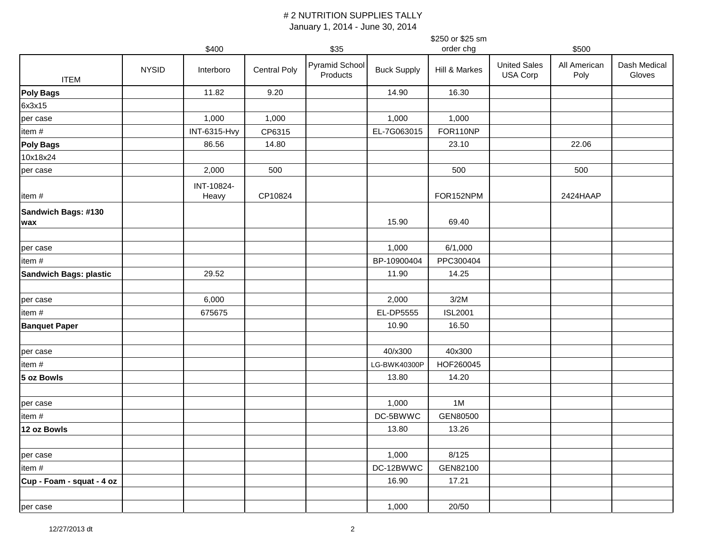|                            |              |                     |                     |                            |                    | \$250 or \$25 sm |                                 |                      |                        |
|----------------------------|--------------|---------------------|---------------------|----------------------------|--------------------|------------------|---------------------------------|----------------------|------------------------|
|                            |              | \$400               |                     | \$35                       |                    | order chg        |                                 | \$500                |                        |
| <b>ITEM</b>                | <b>NYSID</b> | Interboro           | <b>Central Poly</b> | Pyramid School<br>Products | <b>Buck Supply</b> | Hill & Markes    | <b>United Sales</b><br>USA Corp | All American<br>Poly | Dash Medical<br>Gloves |
| <b>Poly Bags</b>           |              | 11.82               | 9.20                |                            | 14.90              | 16.30            |                                 |                      |                        |
| 6x3x15                     |              |                     |                     |                            |                    |                  |                                 |                      |                        |
| per case                   |              | 1,000               | 1,000               |                            | 1,000              | 1,000            |                                 |                      |                        |
| item#                      |              | <b>INT-6315-Hvy</b> | CP6315              |                            | EL-7G063015        | FOR110NP         |                                 |                      |                        |
| <b>Poly Bags</b>           |              | 86.56               | 14.80               |                            |                    | 23.10            |                                 | 22.06                |                        |
| 10x18x24                   |              |                     |                     |                            |                    |                  |                                 |                      |                        |
| per case                   |              | 2,000               | 500                 |                            |                    | 500              |                                 | 500                  |                        |
| item#                      |              | INT-10824-<br>Heavy | CP10824             |                            |                    | FOR152NPM        |                                 | 2424HAAP             |                        |
| Sandwich Bags: #130<br>wax |              |                     |                     |                            | 15.90              | 69.40            |                                 |                      |                        |
| per case                   |              |                     |                     |                            | 1,000              | 6/1,000          |                                 |                      |                        |
| item#                      |              |                     |                     |                            | BP-10900404        | PPC300404        |                                 |                      |                        |
| Sandwich Bags: plastic     |              | 29.52               |                     |                            | 11.90              | 14.25            |                                 |                      |                        |
| per case                   |              | 6,000               |                     |                            | 2,000              | 3/2M             |                                 |                      |                        |
| item#                      |              | 675675              |                     |                            | EL-DP5555          | <b>ISL2001</b>   |                                 |                      |                        |
| <b>Banquet Paper</b>       |              |                     |                     |                            | 10.90              | 16.50            |                                 |                      |                        |
| per case                   |              |                     |                     |                            | 40/x300            | 40x300           |                                 |                      |                        |
| item#                      |              |                     |                     |                            | LG-BWK40300P       | HOF260045        |                                 |                      |                        |
| 5 oz Bowls                 |              |                     |                     |                            | 13.80              | 14.20            |                                 |                      |                        |
| per case                   |              |                     |                     |                            | 1,000              | 1M               |                                 |                      |                        |
| item #                     |              |                     |                     |                            | DC-5BWWC           | GEN80500         |                                 |                      |                        |
| 12 oz Bowls                |              |                     |                     |                            | 13.80              | 13.26            |                                 |                      |                        |
| per case                   |              |                     |                     |                            | 1,000              | 8/125            |                                 |                      |                        |
| item#                      |              |                     |                     |                            | DC-12BWWC          | GEN82100         |                                 |                      |                        |
| Cup - Foam - squat - 4 oz  |              |                     |                     |                            | 16.90              | 17.21            |                                 |                      |                        |
|                            |              |                     |                     |                            |                    |                  |                                 |                      |                        |
| per case                   |              |                     |                     |                            | 1,000              | 20/50            |                                 |                      |                        |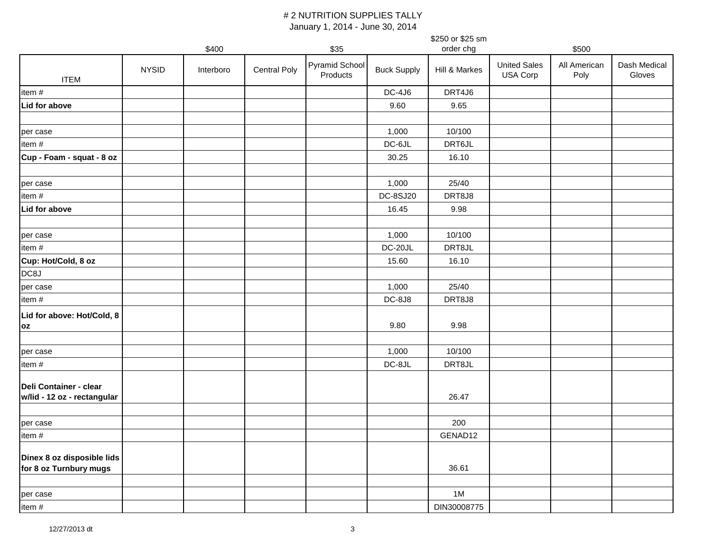|                                                      |              |           |                     |                            |                    | \$250 or \$25 sm |                                 |                      |                        |
|------------------------------------------------------|--------------|-----------|---------------------|----------------------------|--------------------|------------------|---------------------------------|----------------------|------------------------|
|                                                      |              | \$400     |                     | \$35                       |                    | order chg        |                                 | \$500                |                        |
| <b>ITEM</b>                                          | <b>NYSID</b> | Interboro | <b>Central Poly</b> | Pyramid School<br>Products | <b>Buck Supply</b> | Hill & Markes    | <b>United Sales</b><br>USA Corp | All American<br>Poly | Dash Medical<br>Gloves |
| item#                                                |              |           |                     |                            | <b>DC-4J6</b>      | DRT4J6           |                                 |                      |                        |
| Lid for above                                        |              |           |                     |                            | 9.60               | 9.65             |                                 |                      |                        |
|                                                      |              |           |                     |                            |                    |                  |                                 |                      |                        |
| per case                                             |              |           |                     |                            | 1,000              | 10/100           |                                 |                      |                        |
| item#                                                |              |           |                     |                            | DC-6JL             | DRT6JL           |                                 |                      |                        |
| Cup - Foam - squat - 8 oz                            |              |           |                     |                            | 30.25              | 16.10            |                                 |                      |                        |
|                                                      |              |           |                     |                            |                    |                  |                                 |                      |                        |
| per case                                             |              |           |                     |                            | 1,000              | 25/40            |                                 |                      |                        |
| item#                                                |              |           |                     |                            | DC-8SJ20           | DRT8J8           |                                 |                      |                        |
| Lid for above                                        |              |           |                     |                            | 16.45              | 9.98             |                                 |                      |                        |
|                                                      |              |           |                     |                            |                    |                  |                                 |                      |                        |
| per case                                             |              |           |                     |                            | 1,000              | 10/100           |                                 |                      |                        |
| item#                                                |              |           |                     |                            | DC-20JL            | DRT8JL           |                                 |                      |                        |
| Cup: Hot/Cold, 8 oz                                  |              |           |                     |                            | 15.60              | 16.10            |                                 |                      |                        |
| DC8J                                                 |              |           |                     |                            |                    |                  |                                 |                      |                        |
| per case                                             |              |           |                     |                            | 1,000              | 25/40            |                                 |                      |                        |
| item#                                                |              |           |                     |                            | DC-8J8             | DRT8J8           |                                 |                      |                        |
| Lid for above: Hot/Cold, 8                           |              |           |                     |                            |                    | 9.98             |                                 |                      |                        |
| oz                                                   |              |           |                     |                            | 9.80               |                  |                                 |                      |                        |
|                                                      |              |           |                     |                            | 1,000              | 10/100           |                                 |                      |                        |
| per case<br>item#                                    |              |           |                     |                            | DC-8JL             | DRT8JL           |                                 |                      |                        |
|                                                      |              |           |                     |                            |                    |                  |                                 |                      |                        |
| Deli Container - clear                               |              |           |                     |                            |                    |                  |                                 |                      |                        |
| w/lid - 12 oz - rectangular                          |              |           |                     |                            |                    | 26.47            |                                 |                      |                        |
|                                                      |              |           |                     |                            |                    |                  |                                 |                      |                        |
| per case                                             |              |           |                     |                            |                    | 200              |                                 |                      |                        |
| item#                                                |              |           |                     |                            |                    | GENAD12          |                                 |                      |                        |
|                                                      |              |           |                     |                            |                    |                  |                                 |                      |                        |
| Dinex 8 oz disposible lids<br>for 8 oz Turnbury mugs |              |           |                     |                            |                    | 36.61            |                                 |                      |                        |
|                                                      |              |           |                     |                            |                    |                  |                                 |                      |                        |
| per case                                             |              |           |                     |                            |                    | 1M               |                                 |                      |                        |
| item #                                               |              |           |                     |                            |                    | DIN30008775      |                                 |                      |                        |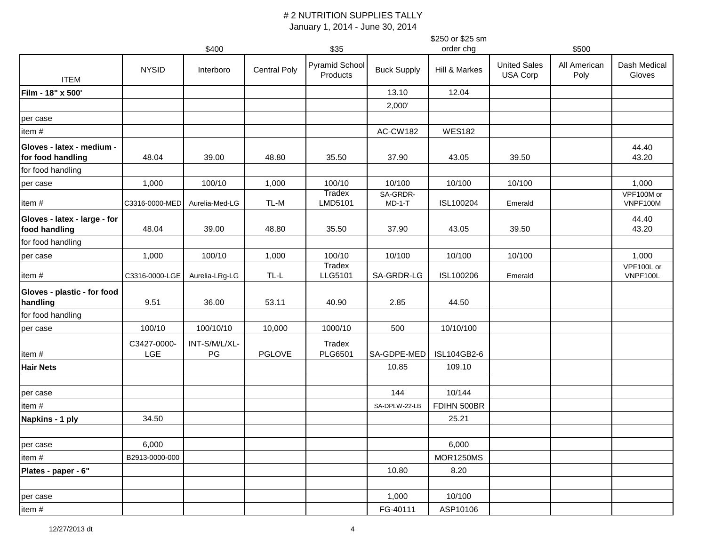|                                                |                    |                     |                     |                            |                      | \$250 or \$25 sm |                                 |                      |                        |
|------------------------------------------------|--------------------|---------------------|---------------------|----------------------------|----------------------|------------------|---------------------------------|----------------------|------------------------|
|                                                |                    | \$400               |                     | \$35                       |                      | order chg        |                                 | \$500                |                        |
| <b>ITEM</b>                                    | <b>NYSID</b>       | Interboro           | <b>Central Poly</b> | Pyramid School<br>Products | <b>Buck Supply</b>   | Hill & Markes    | <b>United Sales</b><br>USA Corp | All American<br>Poly | Dash Medical<br>Gloves |
| Film - 18" x 500'                              |                    |                     |                     |                            | 13.10                | 12.04            |                                 |                      |                        |
|                                                |                    |                     |                     |                            | 2,000'               |                  |                                 |                      |                        |
| per case                                       |                    |                     |                     |                            |                      |                  |                                 |                      |                        |
| item#                                          |                    |                     |                     |                            | AC-CW182             | <b>WES182</b>    |                                 |                      |                        |
| Gloves - latex - medium -<br>for food handling | 48.04              | 39.00               | 48.80               | 35.50                      | 37.90                | 43.05            | 39.50                           |                      | 44.40<br>43.20         |
| for food handling                              |                    |                     |                     |                            |                      |                  |                                 |                      |                        |
| per case                                       | 1,000              | 100/10              | 1,000               | 100/10                     | 10/100               | 10/100           | 10/100                          |                      | 1,000                  |
| item#                                          | C3316-0000-MED     | Aurelia-Med-LG      | TL-M                | Tradex<br>LMD5101          | SA-GRDR-<br>$MD-1-T$ | ISL100204        | Emerald                         |                      | VPF100M or<br>VNPF100M |
| Gloves - latex - large - for<br>food handling  | 48.04              | 39.00               | 48.80               | 35.50                      | 37.90                | 43.05            | 39.50                           |                      | 44.40<br>43.20         |
| for food handling                              |                    |                     |                     |                            |                      |                  |                                 |                      |                        |
| per case                                       | 1,000              | 100/10              | 1,000               | 100/10                     | 10/100               | 10/100           | 10/100                          |                      | 1,000                  |
| item#                                          | C3316-0000-LGE     | Aurelia-LRg-LG      | TL-L                | Tradex<br>LLG5101          | SA-GRDR-LG           | ISL100206        | Emerald                         |                      | VPF100L or<br>VNPF100L |
| Gloves - plastic - for food                    |                    |                     |                     |                            |                      |                  |                                 |                      |                        |
| handling                                       | 9.51               | 36.00               | 53.11               | 40.90                      | 2.85                 | 44.50            |                                 |                      |                        |
| for food handling                              |                    |                     |                     |                            |                      |                  |                                 |                      |                        |
| per case                                       | 100/10             | 100/10/10           | 10,000              | 1000/10                    | 500                  | 10/10/100        |                                 |                      |                        |
| item#                                          | C3427-0000-<br>LGE | INT-S/M/L/XL-<br>PG | PGLOVE              | Tradex<br>PLG6501          | SA-GDPE-MED          | ISL104GB2-6      |                                 |                      |                        |
| <b>Hair Nets</b>                               |                    |                     |                     |                            | 10.85                | 109.10           |                                 |                      |                        |
|                                                |                    |                     |                     |                            |                      |                  |                                 |                      |                        |
| per case                                       |                    |                     |                     |                            | 144                  | 10/144           |                                 |                      |                        |
| item#                                          |                    |                     |                     |                            | SA-DPLW-22-LB        | FDIHN 500BR      |                                 |                      |                        |
| Napkins - 1 ply                                | 34.50              |                     |                     |                            |                      | 25.21            |                                 |                      |                        |
|                                                |                    |                     |                     |                            |                      |                  |                                 |                      |                        |
| per case                                       | 6,000              |                     |                     |                            |                      | 6,000            |                                 |                      |                        |
| item#                                          | B2913-0000-000     |                     |                     |                            |                      | <b>MOR1250MS</b> |                                 |                      |                        |
| Plates - paper - 6"                            |                    |                     |                     |                            | 10.80                | 8.20             |                                 |                      |                        |
|                                                |                    |                     |                     |                            |                      |                  |                                 |                      |                        |
| per case                                       |                    |                     |                     |                            | 1,000                | 10/100           |                                 |                      |                        |
| item#                                          |                    |                     |                     |                            | FG-40111             | ASP10106         |                                 |                      |                        |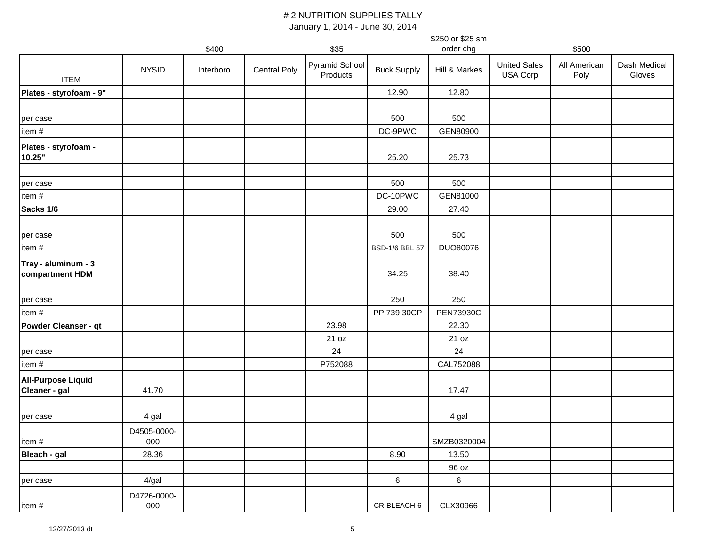|                                            |                    |           |                     |                            |                    | \$250 or \$25 sm |                                 |                      |                        |
|--------------------------------------------|--------------------|-----------|---------------------|----------------------------|--------------------|------------------|---------------------------------|----------------------|------------------------|
|                                            |                    | \$400     |                     | \$35                       |                    | order chg        |                                 | \$500                |                        |
| <b>ITEM</b>                                | <b>NYSID</b>       | Interboro | <b>Central Poly</b> | Pyramid School<br>Products | <b>Buck Supply</b> | Hill & Markes    | <b>United Sales</b><br>USA Corp | All American<br>Poly | Dash Medical<br>Gloves |
| Plates - styrofoam - 9"                    |                    |           |                     |                            | 12.90              | 12.80            |                                 |                      |                        |
|                                            |                    |           |                     |                            |                    |                  |                                 |                      |                        |
| per case                                   |                    |           |                     |                            | 500                | 500              |                                 |                      |                        |
| item#                                      |                    |           |                     |                            | DC-9PWC            | GEN80900         |                                 |                      |                        |
| Plates - styrofoam -<br>10.25"             |                    |           |                     |                            | 25.20              | 25.73            |                                 |                      |                        |
|                                            |                    |           |                     |                            | 500                | 500              |                                 |                      |                        |
| per case<br>item#                          |                    |           |                     |                            | DC-10PWC           | GEN81000         |                                 |                      |                        |
| Sacks 1/6                                  |                    |           |                     |                            | 29.00              | 27.40            |                                 |                      |                        |
|                                            |                    |           |                     |                            |                    |                  |                                 |                      |                        |
| per case                                   |                    |           |                     |                            | 500                | 500              |                                 |                      |                        |
| item#                                      |                    |           |                     |                            | BSD-1/6 BBL 57     | DUO80076         |                                 |                      |                        |
| Tray - aluminum - 3<br>compartment HDM     |                    |           |                     |                            | 34.25              | 38.40            |                                 |                      |                        |
| per case                                   |                    |           |                     |                            | 250                | 250              |                                 |                      |                        |
| item#                                      |                    |           |                     |                            | PP 739 30CP        | <b>PEN73930C</b> |                                 |                      |                        |
| Powder Cleanser - qt                       |                    |           |                     | 23.98                      |                    | 22.30            |                                 |                      |                        |
|                                            |                    |           |                     | 21 oz                      |                    | 21 oz            |                                 |                      |                        |
| per case                                   |                    |           |                     | 24                         |                    | 24               |                                 |                      |                        |
| item#                                      |                    |           |                     | P752088                    |                    | CAL752088        |                                 |                      |                        |
| <b>All-Purpose Liquid</b><br>Cleaner - gal | 41.70              |           |                     |                            |                    | 17.47            |                                 |                      |                        |
| per case                                   | 4 gal              |           |                     |                            |                    | 4 gal            |                                 |                      |                        |
| item #                                     | D4505-0000-<br>000 |           |                     |                            |                    | SMZB0320004      |                                 |                      |                        |
| Bleach - gal                               | 28.36              |           |                     |                            | 8.90               | 13.50            |                                 |                      |                        |
|                                            |                    |           |                     |                            |                    | 96 oz            |                                 |                      |                        |
| per case                                   | 4/gal              |           |                     |                            | $\,6\,$            | $\,6\,$          |                                 |                      |                        |
| item#                                      | D4726-0000-<br>000 |           |                     |                            | CR-BLEACH-6        | CLX30966         |                                 |                      |                        |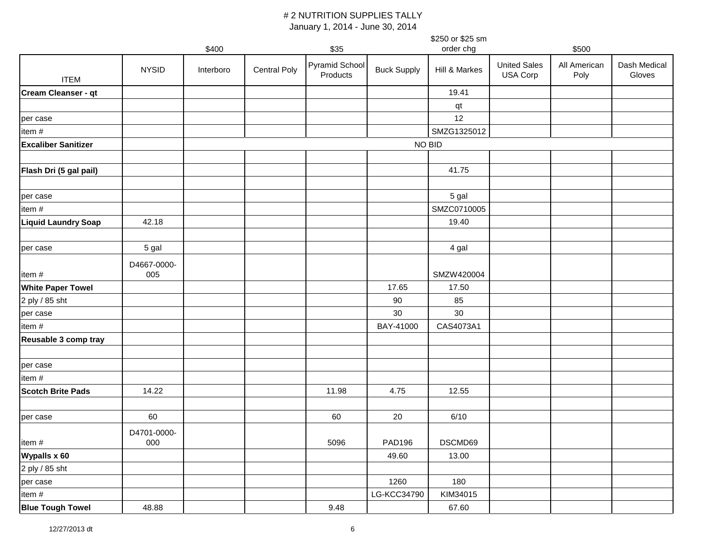|                            |                    |           |                     |                            |                    | \$250 or \$25 sm |                                 |                      |                        |  |
|----------------------------|--------------------|-----------|---------------------|----------------------------|--------------------|------------------|---------------------------------|----------------------|------------------------|--|
|                            |                    | \$400     |                     | \$35                       |                    | order chg        |                                 | \$500                |                        |  |
| <b>ITEM</b>                | <b>NYSID</b>       | Interboro | <b>Central Poly</b> | Pyramid School<br>Products | <b>Buck Supply</b> | Hill & Markes    | <b>United Sales</b><br>USA Corp | All American<br>Poly | Dash Medical<br>Gloves |  |
| Cream Cleanser - qt        |                    |           |                     |                            |                    | 19.41            |                                 |                      |                        |  |
|                            |                    |           |                     |                            |                    | qt               |                                 |                      |                        |  |
| per case                   |                    |           |                     |                            |                    | 12               |                                 |                      |                        |  |
| item#                      |                    |           |                     |                            |                    | SMZG1325012      |                                 |                      |                        |  |
| <b>Excaliber Sanitizer</b> |                    |           | NO BID              |                            |                    |                  |                                 |                      |                        |  |
| Flash Dri (5 gal pail)     |                    |           |                     |                            |                    | 41.75            |                                 |                      |                        |  |
|                            |                    |           |                     |                            |                    |                  |                                 |                      |                        |  |
| per case                   |                    |           |                     |                            |                    | 5 gal            |                                 |                      |                        |  |
| item#                      |                    |           |                     |                            |                    | SMZC0710005      |                                 |                      |                        |  |
| <b>Liquid Laundry Soap</b> | 42.18              |           |                     |                            |                    | 19.40            |                                 |                      |                        |  |
| per case                   | 5 gal              |           |                     |                            |                    | 4 gal            |                                 |                      |                        |  |
| item#                      | D4667-0000-<br>005 |           |                     |                            |                    | SMZW420004       |                                 |                      |                        |  |
| <b>White Paper Towel</b>   |                    |           |                     |                            | 17.65              | 17.50            |                                 |                      |                        |  |
| 2 ply / 85 sht             |                    |           |                     |                            | 90                 | 85               |                                 |                      |                        |  |
| per case                   |                    |           |                     |                            | 30                 | 30               |                                 |                      |                        |  |
| item#                      |                    |           |                     |                            | BAY-41000          | CAS4073A1        |                                 |                      |                        |  |
| Reusable 3 comp tray       |                    |           |                     |                            |                    |                  |                                 |                      |                        |  |
| per case                   |                    |           |                     |                            |                    |                  |                                 |                      |                        |  |
| item#                      |                    |           |                     |                            |                    |                  |                                 |                      |                        |  |
| <b>Scotch Brite Pads</b>   | 14.22              |           |                     | 11.98                      | 4.75               | 12.55            |                                 |                      |                        |  |
|                            |                    |           |                     |                            |                    |                  |                                 |                      |                        |  |
| per case                   | 60                 |           |                     | 60                         | 20                 | 6/10             |                                 |                      |                        |  |
| item #                     | D4701-0000-<br>000 |           |                     | 5096                       | <b>PAD196</b>      | DSCMD69          |                                 |                      |                        |  |
| <b>Wypalls x 60</b>        |                    |           |                     |                            | 49.60              | 13.00            |                                 |                      |                        |  |
| 2 ply / 85 sht             |                    |           |                     |                            |                    |                  |                                 |                      |                        |  |
| per case                   |                    |           |                     |                            | 1260               | 180              |                                 |                      |                        |  |
| item#                      |                    |           |                     |                            | LG-KCC34790        | KIM34015         |                                 |                      |                        |  |
| <b>Blue Tough Towel</b>    | 48.88              |           |                     | 9.48                       |                    | 67.60            |                                 |                      |                        |  |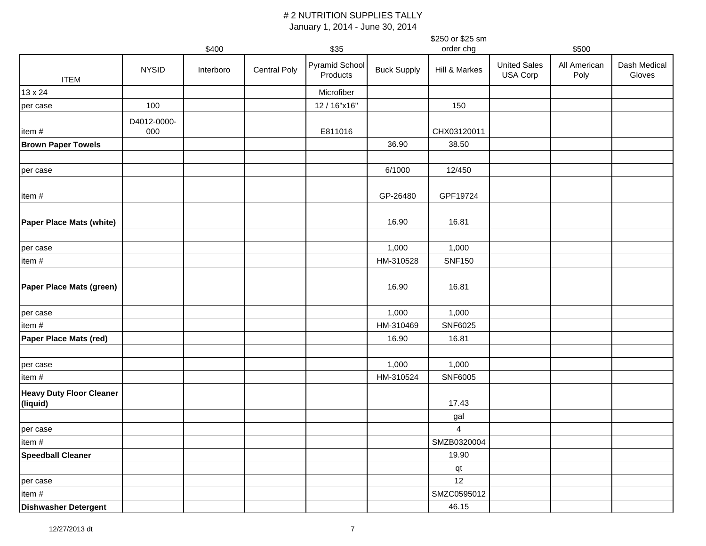|                                             |                    |           |                     |                            |                    | \$250 or \$25 sm |                                 |                      |                        |
|---------------------------------------------|--------------------|-----------|---------------------|----------------------------|--------------------|------------------|---------------------------------|----------------------|------------------------|
|                                             |                    | \$400     |                     | \$35                       |                    | order chg        |                                 | \$500                |                        |
| <b>ITEM</b>                                 | <b>NYSID</b>       | Interboro | <b>Central Poly</b> | Pyramid School<br>Products | <b>Buck Supply</b> | Hill & Markes    | <b>United Sales</b><br>USA Corp | All American<br>Poly | Dash Medical<br>Gloves |
| 13 x 24                                     |                    |           |                     | Microfiber                 |                    |                  |                                 |                      |                        |
| per case                                    | 100                |           |                     | 12 / 16"x16"               |                    | 150              |                                 |                      |                        |
| item#                                       | D4012-0000-<br>000 |           |                     | E811016                    |                    | CHX03120011      |                                 |                      |                        |
| <b>Brown Paper Towels</b>                   |                    |           |                     |                            | 36.90              | 38.50            |                                 |                      |                        |
|                                             |                    |           |                     |                            |                    |                  |                                 |                      |                        |
| per case                                    |                    |           |                     |                            | 6/1000             | 12/450           |                                 |                      |                        |
| item#                                       |                    |           |                     |                            | GP-26480           | GPF19724         |                                 |                      |                        |
| <b>Paper Place Mats (white)</b>             |                    |           |                     |                            | 16.90              | 16.81            |                                 |                      |                        |
| per case                                    |                    |           |                     |                            | 1,000              | 1,000            |                                 |                      |                        |
| item#                                       |                    |           |                     |                            | HM-310528          | <b>SNF150</b>    |                                 |                      |                        |
| Paper Place Mats (green)                    |                    |           |                     |                            | 16.90              | 16.81            |                                 |                      |                        |
| per case                                    |                    |           |                     |                            | 1,000              | 1,000            |                                 |                      |                        |
| item#                                       |                    |           |                     |                            | HM-310469          | SNF6025          |                                 |                      |                        |
| Paper Place Mats (red)                      |                    |           |                     |                            | 16.90              | 16.81            |                                 |                      |                        |
|                                             |                    |           |                     |                            |                    |                  |                                 |                      |                        |
| per case                                    |                    |           |                     |                            | 1,000              | 1,000            |                                 |                      |                        |
| item#                                       |                    |           |                     |                            | HM-310524          | SNF6005          |                                 |                      |                        |
| <b>Heavy Duty Floor Cleaner</b><br>(liquid) |                    |           |                     |                            |                    | 17.43            |                                 |                      |                        |
|                                             |                    |           |                     |                            |                    | gal              |                                 |                      |                        |
| per case                                    |                    |           |                     |                            |                    | $\overline{4}$   |                                 |                      |                        |
| item#                                       |                    |           |                     |                            |                    | SMZB0320004      |                                 |                      |                        |
| <b>Speedball Cleaner</b>                    |                    |           |                     |                            |                    | 19.90            |                                 |                      |                        |
|                                             |                    |           |                     |                            |                    | qt               |                                 |                      |                        |
| per case                                    |                    |           |                     |                            |                    | 12               |                                 |                      |                        |
| item#                                       |                    |           |                     |                            |                    | SMZC0595012      |                                 |                      |                        |
| <b>Dishwasher Detergent</b>                 |                    |           |                     |                            |                    | 46.15            |                                 |                      |                        |